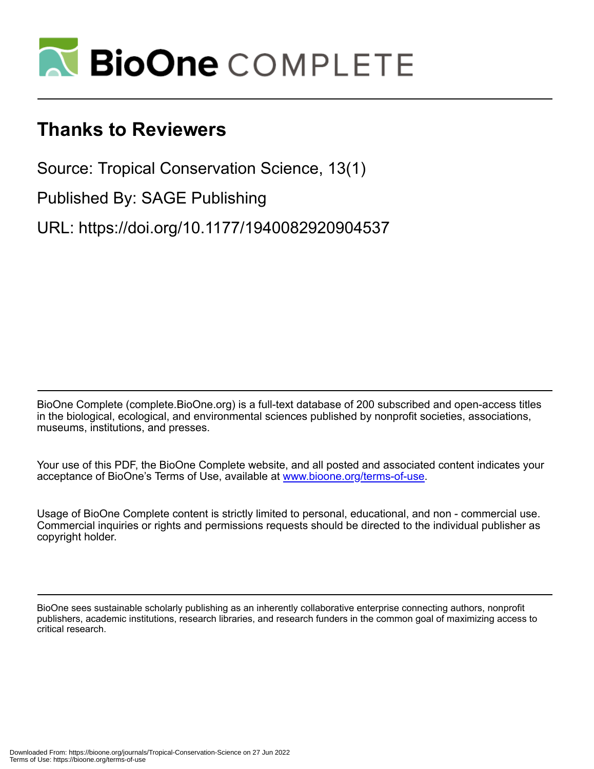

## **Thanks to Reviewers**

Source: Tropical Conservation Science, 13(1)

Published By: SAGE Publishing

URL: https://doi.org/10.1177/1940082920904537

BioOne Complete (complete.BioOne.org) is a full-text database of 200 subscribed and open-access titles in the biological, ecological, and environmental sciences published by nonprofit societies, associations, museums, institutions, and presses.

Your use of this PDF, the BioOne Complete website, and all posted and associated content indicates your acceptance of BioOne's Terms of Use, available at www.bioone.org/terms-of-use.

Usage of BioOne Complete content is strictly limited to personal, educational, and non - commercial use. Commercial inquiries or rights and permissions requests should be directed to the individual publisher as copyright holder.

BioOne sees sustainable scholarly publishing as an inherently collaborative enterprise connecting authors, nonprofit publishers, academic institutions, research libraries, and research funders in the common goal of maximizing access to critical research.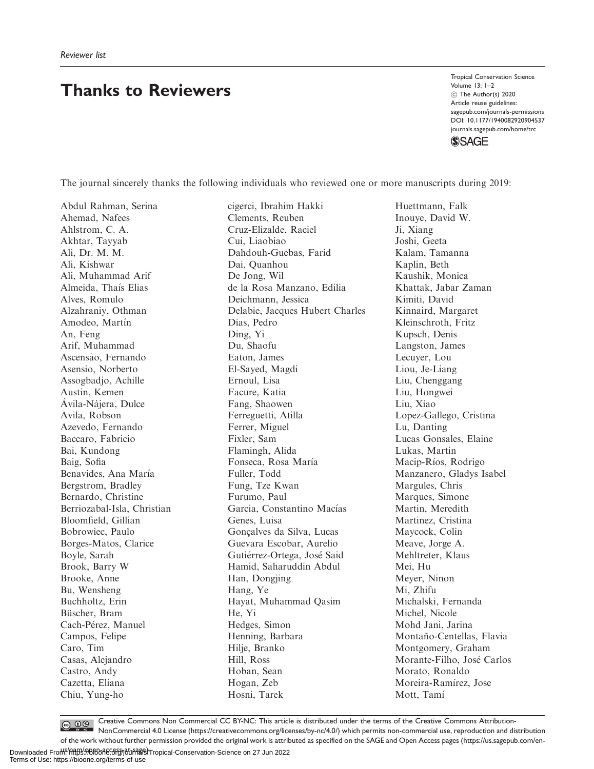## Thanks to Reviewers

Tropical Conservation Science Volume 13: 1–2 C The Author(s) 2020 Article reuse guidelines: [sagepub.com/journals-permissions](http://us.sagepub.com/en-us/journals-permissions) [DOI: 10.1177/1940082920904537](http://dx.doi.org/10.1177/1940082920904537) <journals.sagepub.com/home/trc> **SSAGE** 

The journal sincerely thanks the following individuals who reviewed one or more manuscripts during 2019:

Abdul Rahman, Serina Ahemad, Nafees Ahlstrom, C. A. Akhtar, Tayyab Ali, Dr. M. M. Ali, Kishwar Ali, Muhammad Arif Almeida, Thaıs Elias Alves, Romulo Alzahraniy, Othman Amodeo, Martín An, Feng Arif, Muhammad Ascensão, Fernando Asensio, Norberto Assogbadjo, Achille Austin, Kemen Ávila-Nájera, Dulce Avila, Robson Azevedo, Fernando Baccaro, Fabricio Bai, Kundong Baig, Sofia Benavides, Ana María Bergstrom, Bradley Bernardo, Christine Berriozabal-Isla, Christian Bloomfield, Gillian Bobrowiec, Paulo Borges-Matos, Clarice Boyle, Sarah Brook, Barry W Brooke, Anne Bu, Wensheng Buchholtz, Erin Büscher, Bram Cach-Pérez, Manuel Campos, Felipe Caro, Tim Casas, Alejandro Castro, Andy Cazetta, Eliana Chiu, Yung-ho

cigerci, Ibrahim Hakki Clements, Reuben Cruz-Elizalde, Raciel Cui, Liaobiao Dahdouh-Guebas, Farid Dai, Quanhou De Jong, Wil de la Rosa Manzano, Edilia Deichmann, Jessica Delabie, Jacques Hubert Charles Dias, Pedro Ding, Yi Du, Shaofu Eaton, James El-Sayed, Magdi Ernoul, Lisa Facure, Katia Fang, Shaowen Ferreguetti, Atilla Ferrer, Miguel Fixler, Sam Flamingh, Alida Fonseca, Rosa María Fuller, Todd Fung, Tze Kwan Furumo, Paul Garcia, Constantino Macías Genes, Luisa Gonçalves da Silva, Lucas Guevara Escobar, Aurelio Gutierrez-Ortega, Jose Said Hamid, Saharuddin Abdul Han, Dongjing Hang, Ye Hayat, Muhammad Qasim He, Yi Hedges, Simon Henning, Barbara Hilje, Branko Hill, Ross Hoban, Sean Hogan, Zeb Hosni, Tarek

Huettmann, Falk Inouye, David W. Ji, Xiang Joshi, Geeta Kalam, Tamanna Kaplin, Beth Kaushik, Monica Khattak, Jabar Zaman Kimiti, David Kinnaird, Margaret Kleinschroth, Fritz Kupsch, Denis Langston, James Lecuyer, Lou Liou, Je-Liang Liu, Chenggang Liu, Hongwei Liu, Xiao Lopez-Gallego, Cristina Lu, Danting Lucas Gonsales, Elaine Lukas, Martin Macip-Ríos, Rodrigo Manzanero, Gladys Isabel Margules, Chris Marques, Simone Martin, Meredith Martinez, Cristina Maycock, Colin Meave, Jorge A. Mehltreter, Klaus Mei, Hu Meyer, Ninon Mi, Zhifu Michalski, Fernanda Michel, Nicole Mohd Jani, Jarina Montaño-Centellas, Flavia Montgomery, Graham Morante-Filho, Jose Carlos Morato, Ronaldo Moreira-Ramírez, Jose Mott, Tamí

Creative Commons Non Commercial CC BY-NC: This article is distributed under the terms of the Creative Commons Attribution- $\bigcirc$   $\bigcirc$   $\bigcirc$ NonCommercial 4.0 License (https://creativecommons.org/licenses/by-nc/4.0/) which permits non-commercial use, reproduction and distribution of the work without further permission provided the original work is attributed as specified on the SAGE and Open Access pages (https://us.sagepub.com/en